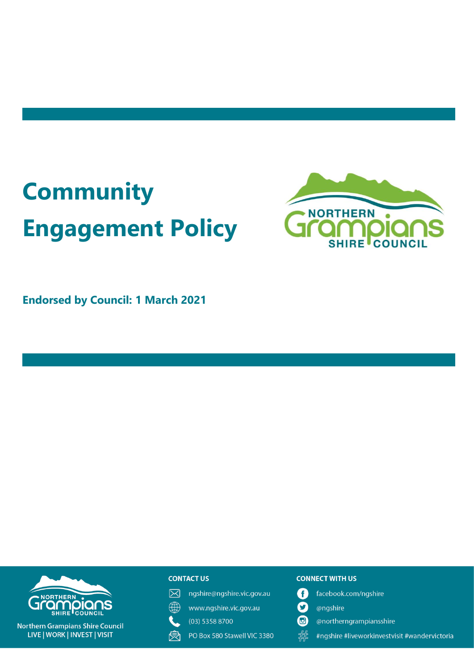# **Community Engagement Policy**



**Endorsed by Council: 1 March 2021**

# **DOIQ** SHIRE COUNC

**Northern Grampians Shire Council** LIVE | WORK | INVEST | VISIT

# **CONTACT US**

- ngshire@ngshire.vic.gov.au  $\boxtimes$
- $\mathbb{A}$ www.ngshire.vic.gov.au
	- (03) 5358 8700
- 戾 PO Box 580 Stawell VIC 3380

#### **CONNECT WITH US**

- A facebook.com/ngshire
- $\mathbf \Omega$ @ngshire
- **问** @northerngrampiansshire
- 指 #ngshire #liveworkinvestvisit #wandervictoria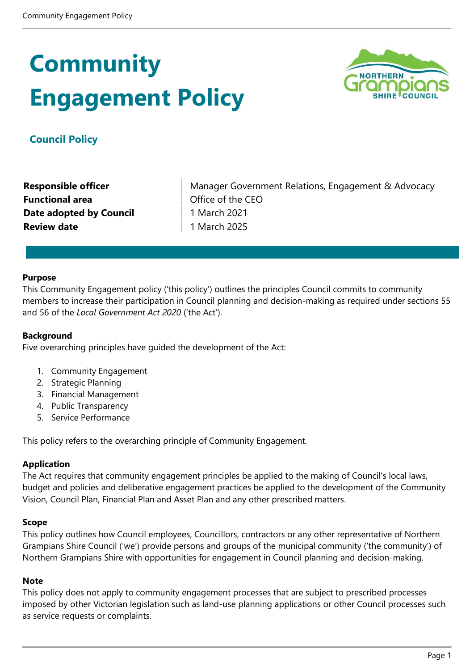# **Community Engagement Policy**



# **Council Policy**

**Functional area CEO I** Office of the CEO **Date adopted by Council**  1 March 2021 **Review date** 1 March 2025

**Responsible officer** Manager Government Relations, Engagement & Advocacy

#### **Purpose**

This Community Engagement policy ('this policy') outlines the principles Council commits to community members to increase their participation in Council planning and decision-making as required under sections 55 and 56 of the *Local Government Act 2020* ('the Act').

#### **Background**

Five overarching principles have guided the development of the Act:

- 1. Community Engagement
- 2. Strategic Planning
- 3. Financial Management
- 4. Public Transparency
- 5. Service Performance

This policy refers to the overarching principle of Community Engagement.

#### **Application**

The Act requires that community engagement principles be applied to the making of Council's local laws, budget and policies and deliberative engagement practices be applied to the development of the Community Vision, Council Plan, Financial Plan and Asset Plan and any other prescribed matters.

#### **Scope**

This policy outlines how Council employees, Councillors, contractors or any other representative of Northern Grampians Shire Council ('we') provide persons and groups of the municipal community ('the community') of Northern Grampians Shire with opportunities for engagement in Council planning and decision-making.

#### **Note**

This policy does not apply to community engagement processes that are subject to prescribed processes imposed by other Victorian legislation such as land-use planning applications or other Council processes such as service requests or complaints.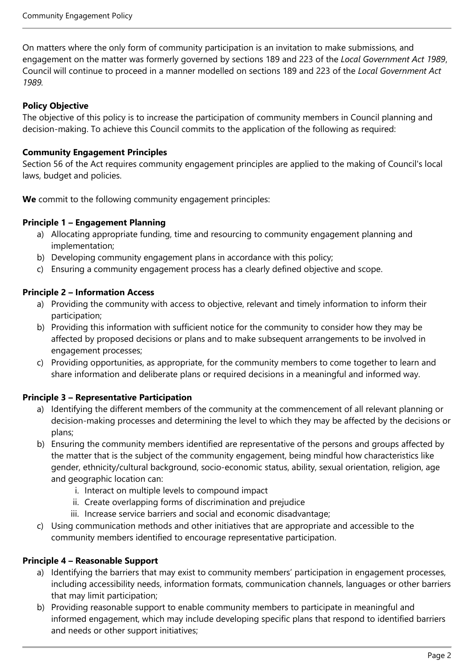On matters where the only form of community participation is an invitation to make submissions, and engagement on the matter was formerly governed by sections 189 and 223 of the *Local Government Act 1989*, Council will continue to proceed in a manner modelled on sections 189 and 223 of the *Local Government Act 1989.*

#### **Policy Objective**

The objective of this policy is to increase the participation of community members in Council planning and decision-making. To achieve this Council commits to the application of the following as required:

#### **Community Engagement Principles**

Section 56 of the Act requires community engagement principles are applied to the making of Council's local laws, budget and policies.

**We** commit to the following community engagement principles:

#### **Principle 1 – Engagement Planning**

- a) Allocating appropriate funding, time and resourcing to community engagement planning and implementation;
- b) Developing community engagement plans in accordance with this policy;
- c) Ensuring a community engagement process has a clearly defined objective and scope.

#### **Principle 2 – Information Access**

- a) Providing the community with access to objective, relevant and timely information to inform their participation;
- b) Providing this information with sufficient notice for the community to consider how they may be affected by proposed decisions or plans and to make subsequent arrangements to be involved in engagement processes;
- c) Providing opportunities, as appropriate, for the community members to come together to learn and share information and deliberate plans or required decisions in a meaningful and informed way.

# **Principle 3 – Representative Participation**

- a) Identifying the different members of the community at the commencement of all relevant planning or decision-making processes and determining the level to which they may be affected by the decisions or plans;
- b) Ensuring the community members identified are representative of the persons and groups affected by the matter that is the subject of the community engagement, being mindful how characteristics like gender, ethnicity/cultural background, socio-economic status, ability, sexual orientation, religion, age and geographic location can:
	- i. Interact on multiple levels to compound impact
	- ii. Create overlapping forms of discrimination and prejudice
	- iii. Increase service barriers and social and economic disadvantage;
- c) Using communication methods and other initiatives that are appropriate and accessible to the community members identified to encourage representative participation.

#### **Principle 4 – Reasonable Support**

- a) Identifying the barriers that may exist to community members' participation in engagement processes, including accessibility needs, information formats, communication channels, languages or other barriers that may limit participation;
- b) Providing reasonable support to enable community members to participate in meaningful and informed engagement, which may include developing specific plans that respond to identified barriers and needs or other support initiatives;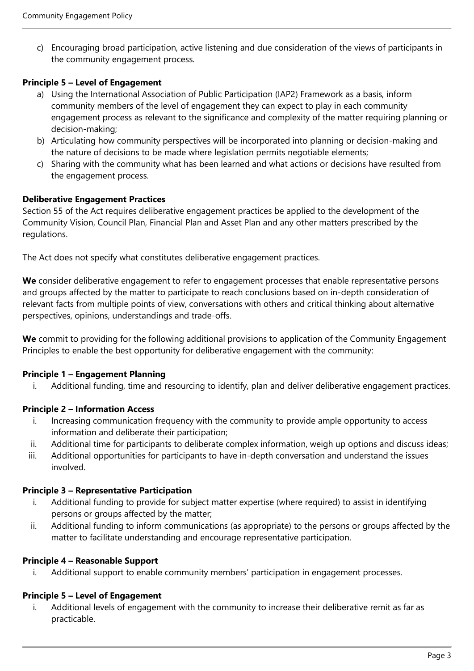c) Encouraging broad participation, active listening and due consideration of the views of participants in the community engagement process.

# **Principle 5 – Level of Engagement**

- a) Using the International Association of Public Participation (IAP2) Framework as a basis, inform community members of the level of engagement they can expect to play in each community engagement process as relevant to the significance and complexity of the matter requiring planning or decision-making;
- b) Articulating how community perspectives will be incorporated into planning or decision-making and the nature of decisions to be made where legislation permits negotiable elements;
- c) Sharing with the community what has been learned and what actions or decisions have resulted from the engagement process.

# **Deliberative Engagement Practices**

Section 55 of the Act requires deliberative engagement practices be applied to the development of the Community Vision, Council Plan, Financial Plan and Asset Plan and any other matters prescribed by the regulations.

The Act does not specify what constitutes deliberative engagement practices.

**We** consider deliberative engagement to refer to engagement processes that enable representative persons and groups affected by the matter to participate to reach conclusions based on in-depth consideration of relevant facts from multiple points of view, conversations with others and critical thinking about alternative perspectives, opinions, understandings and trade-offs.

**We** commit to providing for the following additional provisions to application of the Community Engagement Principles to enable the best opportunity for deliberative engagement with the community:

# **Principle 1 – Engagement Planning**

i. Additional funding, time and resourcing to identify, plan and deliver deliberative engagement practices.

# **Principle 2 – Information Access**

- i. Increasing communication frequency with the community to provide ample opportunity to access information and deliberate their participation;
- ii. Additional time for participants to deliberate complex information, weigh up options and discuss ideas;
- iii. Additional opportunities for participants to have in-depth conversation and understand the issues involved.

# **Principle 3 – Representative Participation**

- i. Additional funding to provide for subject matter expertise (where required) to assist in identifying persons or groups affected by the matter;
- ii. Additional funding to inform communications (as appropriate) to the persons or groups affected by the matter to facilitate understanding and encourage representative participation.

#### **Principle 4 – Reasonable Support**

i. Additional support to enable community members' participation in engagement processes.

# **Principle 5 – Level of Engagement**

i. Additional levels of engagement with the community to increase their deliberative remit as far as practicable.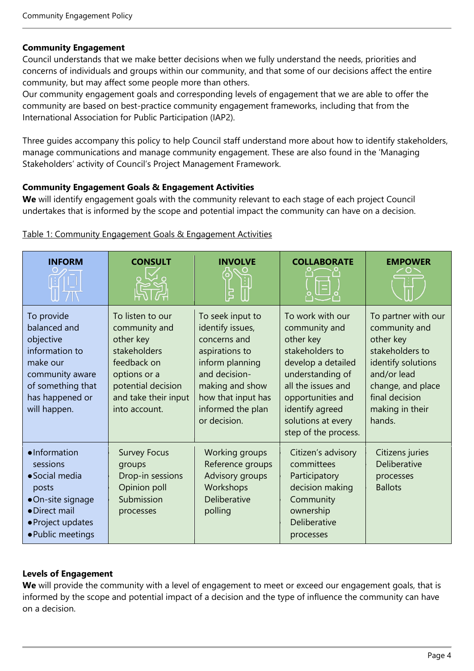#### **Community Engagement**

Council understands that we make better decisions when we fully understand the needs, priorities and concerns of individuals and groups within our community, and that some of our decisions affect the entire community, but may affect some people more than others.

Our community engagement goals and corresponding levels of engagement that we are able to offer the community are based on best-practice community engagement frameworks, including that from the International Association for Public Participation (IAP2).

Three guides accompany this policy to help Council staff understand more about how to identify stakeholders, manage communications and manage community engagement. These are also found in the 'Managing Stakeholders' activity of Council's Project Management Framework.

#### **Community Engagement Goals & Engagement Activities**

**We** will identify engagement goals with the community relevant to each stage of each project Council undertakes that is informed by the scope and potential impact the community can have on a decision.

| <b>INFORM</b>                                                                                                                                    | <b>CONSULT</b>                                                                                                                                               | <b>INVOLVE</b>                                                                                                                                                                           | <b>COLLABORATE</b>                                                                                                                                                                                                      | <b>EMPOWER</b>                                                                                                                                                                |
|--------------------------------------------------------------------------------------------------------------------------------------------------|--------------------------------------------------------------------------------------------------------------------------------------------------------------|------------------------------------------------------------------------------------------------------------------------------------------------------------------------------------------|-------------------------------------------------------------------------------------------------------------------------------------------------------------------------------------------------------------------------|-------------------------------------------------------------------------------------------------------------------------------------------------------------------------------|
| To provide<br>balanced and<br>objective<br>information to<br>make our<br>community aware<br>of something that<br>has happened or<br>will happen. | To listen to our<br>community and<br>other key<br>stakeholders<br>feedback on<br>options or a<br>potential decision<br>and take their input<br>into account. | To seek input to<br>identify issues,<br>concerns and<br>aspirations to<br>inform planning<br>and decision-<br>making and show<br>how that input has<br>informed the plan<br>or decision. | To work with our<br>community and<br>other key<br>stakeholders to<br>develop a detailed<br>understanding of<br>all the issues and<br>opportunities and<br>identify agreed<br>solutions at every<br>step of the process. | To partner with our<br>community and<br>other key<br>stakeholders to<br>identify solutions<br>and/or lead<br>change, and place<br>final decision<br>making in their<br>hands. |
| ·Information<br>sessions<br>• Social media<br>posts<br>·On-site signage<br>• Direct mail<br>• Project updates<br>• Public meetings               | <b>Survey Focus</b><br>groups<br>Drop-in sessions<br>Opinion poll<br>Submission<br>processes                                                                 | Working groups<br>Reference groups<br>Advisory groups<br>Workshops<br>Deliberative<br>polling                                                                                            | Citizen's advisory<br>committees<br>Participatory<br>decision making<br>Community<br>ownership<br>Deliberative<br>processes                                                                                             | Citizens juries<br>Deliberative<br>processes<br><b>Ballots</b>                                                                                                                |

Table 1: Community Engagement Goals & Engagement Activities

# **Levels of Engagement**

We will provide the community with a level of engagement to meet or exceed our engagement goals, that is informed by the scope and potential impact of a decision and the type of influence the community can have on a decision.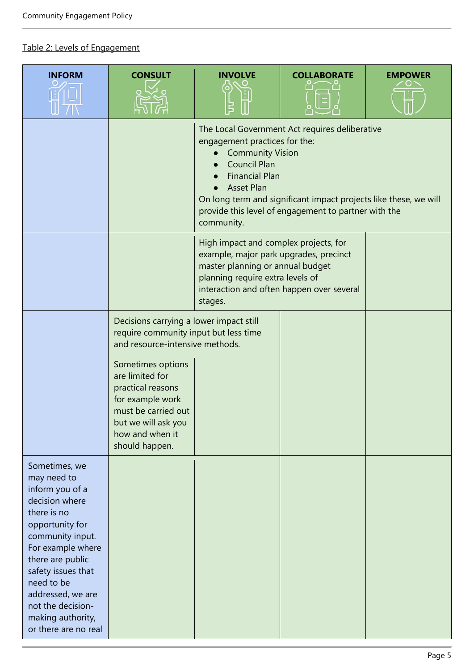# Table 2: Levels of Engagement

| <b>INFORM</b>                                                                                                                                                                                                                                                                               | <b>CONSULT</b>                                                                                                                                                   | <b>INVOLVE</b>                                                                                                                                                     | <b>COLLABORATE</b>                                                                                                                                                         | <b>EMPOWER</b> |
|---------------------------------------------------------------------------------------------------------------------------------------------------------------------------------------------------------------------------------------------------------------------------------------------|------------------------------------------------------------------------------------------------------------------------------------------------------------------|--------------------------------------------------------------------------------------------------------------------------------------------------------------------|----------------------------------------------------------------------------------------------------------------------------------------------------------------------------|----------------|
|                                                                                                                                                                                                                                                                                             |                                                                                                                                                                  | engagement practices for the:<br><b>Community Vision</b><br><b>Council Plan</b><br><b>Financial Plan</b><br><b>Asset Plan</b><br>community.                        | The Local Government Act requires deliberative<br>On long term and significant impact projects like these, we will<br>provide this level of engagement to partner with the |                |
|                                                                                                                                                                                                                                                                                             |                                                                                                                                                                  | High impact and complex projects, for<br>example, major park upgrades, precinct<br>master planning or annual budget<br>planning require extra levels of<br>stages. | interaction and often happen over several                                                                                                                                  |                |
|                                                                                                                                                                                                                                                                                             | Decisions carrying a lower impact still<br>require community input but less time<br>and resource-intensive methods.                                              |                                                                                                                                                                    |                                                                                                                                                                            |                |
|                                                                                                                                                                                                                                                                                             | Sometimes options<br>are limited for<br>practical reasons<br>for example work<br>must be carried out<br>but we will ask you<br>how and when it<br>should happen. |                                                                                                                                                                    |                                                                                                                                                                            |                |
| Sometimes, we<br>may need to<br>inform you of a<br>decision where<br>there is no<br>opportunity for<br>community input.<br>For example where<br>there are public<br>safety issues that<br>need to be<br>addressed, we are<br>not the decision-<br>making authority,<br>or there are no real |                                                                                                                                                                  |                                                                                                                                                                    |                                                                                                                                                                            |                |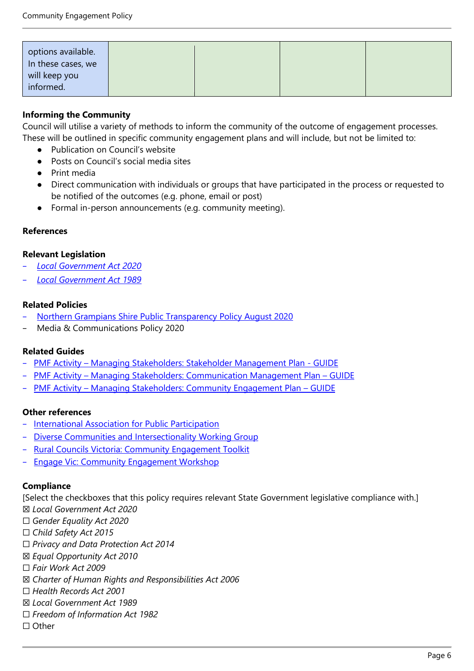| options available.<br>In these cases, we<br>will keep you<br>informed. |  |  |
|------------------------------------------------------------------------|--|--|

# **Informing the Community**

Council will utilise a variety of methods to inform the community of the outcome of engagement processes. These will be outlined in specific community engagement plans and will include, but not be limited to:

- Publication on Council's website
- Posts on Council's social media sites
- Print media
- Direct communication with individuals or groups that have participated in the process or requested to be notified of the outcomes (e.g. phone, email or post)
- Formal in-person announcements (e.g. community meeting).

#### **References**

#### **Relevant Legislation**

- − *[Local Government Act 2020](https://www.legislation.vic.gov.au/as-made/acts/local-government-act-2020)*
- − *[Local Government Act 1989](https://www.legislation.vic.gov.au/in-force/acts/local-government-act-1989/156)*

#### **Related Policies**

- − [Northern Grampians Shire Public Transparency Policy August 2020](https://www.ngshire.vic.gov.au/Your-Council/Governance-and-transparency/Council-policies/Public-Transparency-Policy)
- − Media & Communications Policy 2020

#### **Related Guides**

- − PMF Activity [Managing Stakeholders: Stakeholder Management Plan -](https://northerngrampiansshire.sharepoint.com/:w:/r/sites/TemplateGallery/Shared%20Documents/Media,%20Communications%20%26%20Engagement%20templates/Stakeholder%20Management%20Plan.docx?d=w33c60a896178437295f5c506dcfdbd07&csf=1&web=1&e=r4Fl6n) GUIDE
- − PMF Activity [Managing Stakeholders: Communication Management Plan](https://northerngrampiansshire.sharepoint.com/:w:/r/sites/TemplateGallery/Shared%20Documents/Media,%20Communications%20%26%20Engagement%20templates/Communication%20Management%20Plan.docx?d=w9e939e45b2f64d8498acc476d140992e&csf=1&web=1&e=l43sts)  GUIDE
- − PMF Activity [Managing Stakeholders: Community Engagement Plan](https://northerngrampiansshire.sharepoint.com/:w:/r/sites/TemplateGallery/Shared%20Documents/Media,%20Communications%20%26%20Engagement%20templates/Community%20Engagement%20Plan.docx?d=w66f800e4816a4eec80e193ebb6f6acf8&csf=1&web=1&e=RCSVR2)  GUIDE

#### **Other references**

- − [International Association for Public Participation](https://www.iap2.org.au/)
- − [Diverse Communities and Intersectionality Working Group](https://www.vic.gov.au/diverse-communities-and-intersectionality-working-group)
- − [Rural Councils Victoria: Community Engagement Toolkit](https://media.ruralcouncilsvictoria.org.au/wp-content/uploads/2020/08/06144245/Community-Engagement-Toolkit.pdf)
- Engage Vic: Community Engagement Workshop

#### **Compliance**

[Select the checkboxes that this policy requires relevant State Government legislative compliance with.]

- ☒ *Local Government Act 2020*
- ☐ *Gender Equality Act 2020*
- ☐ *Child Safety Act 2015*
- ☐ *Privacy and Data Protection Act 2014*
- ☒ *Equal Opportunity Act 2010*
- ☐ *Fair Work Act 2009*
- ☒ *Charter of Human Rights and Responsibilities Act 2006*
- ☐ *Health Records Act 2001*
- ☒ *Local Government Act 1989*
- ☐ *Freedom of Information Act 1982*
- ☐ Other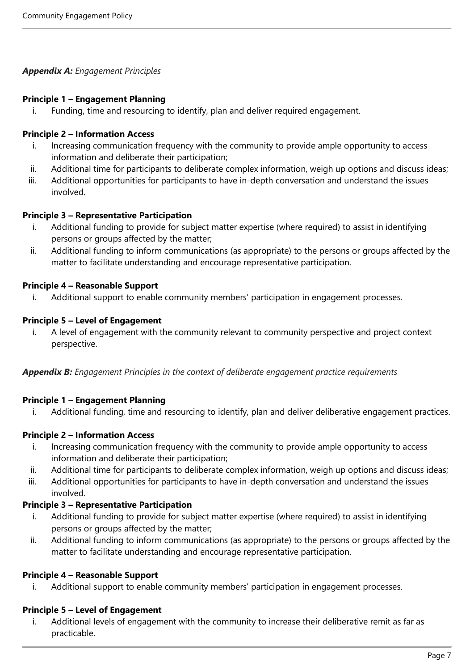# *Appendix A: Engagement Principles*

#### **Principle 1 – Engagement Planning**

i. Funding, time and resourcing to identify, plan and deliver required engagement.

# **Principle 2 – Information Access**

- i. Increasing communication frequency with the community to provide ample opportunity to access information and deliberate their participation;
- ii. Additional time for participants to deliberate complex information, weigh up options and discuss ideas;
- iii. Additional opportunities for participants to have in-depth conversation and understand the issues involved.

#### **Principle 3 – Representative Participation**

- i. Additional funding to provide for subject matter expertise (where required) to assist in identifying persons or groups affected by the matter;
- ii. Additional funding to inform communications (as appropriate) to the persons or groups affected by the matter to facilitate understanding and encourage representative participation.

# **Principle 4 – Reasonable Support**

i. Additional support to enable community members' participation in engagement processes.

# **Principle 5 – Level of Engagement**

i. A level of engagement with the community relevant to community perspective and project context perspective.

*Appendix B: Engagement Principles in the context of deliberate engagement practice requirements*

# **Principle 1 – Engagement Planning**

i. Additional funding, time and resourcing to identify, plan and deliver deliberative engagement practices.

# **Principle 2 – Information Access**

- i. Increasing communication frequency with the community to provide ample opportunity to access information and deliberate their participation;
- ii. Additional time for participants to deliberate complex information, weigh up options and discuss ideas;
- iii. Additional opportunities for participants to have in-depth conversation and understand the issues involved.

# **Principle 3 – Representative Participation**

- i. Additional funding to provide for subject matter expertise (where required) to assist in identifying persons or groups affected by the matter;
- ii. Additional funding to inform communications (as appropriate) to the persons or groups affected by the matter to facilitate understanding and encourage representative participation.

# **Principle 4 – Reasonable Support**

i. Additional support to enable community members' participation in engagement processes.

# **Principle 5 – Level of Engagement**

i. Additional levels of engagement with the community to increase their deliberative remit as far as practicable.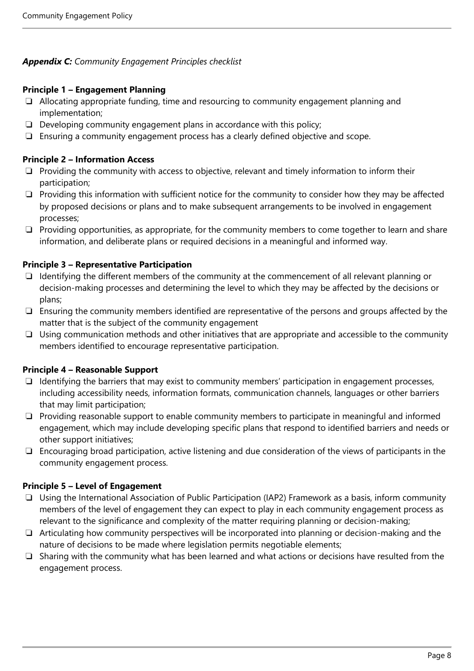# *Appendix C: Community Engagement Principles checklist*

#### **Principle 1 – Engagement Planning**

- ❏ Allocating appropriate funding, time and resourcing to community engagement planning and implementation;
- ❏ Developing community engagement plans in accordance with this policy;
- ❏ Ensuring a community engagement process has a clearly defined objective and scope.

#### **Principle 2 – Information Access**

- ❏ Providing the community with access to objective, relevant and timely information to inform their participation;
- ❏ Providing this information with sufficient notice for the community to consider how they may be affected by proposed decisions or plans and to make subsequent arrangements to be involved in engagement processes;
- ❏ Providing opportunities, as appropriate, for the community members to come together to learn and share information, and deliberate plans or required decisions in a meaningful and informed way.

#### **Principle 3 – Representative Participation**

- ❏ Identifying the different members of the community at the commencement of all relevant planning or decision-making processes and determining the level to which they may be affected by the decisions or plans;
- ❏ Ensuring the community members identified are representative of the persons and groups affected by the matter that is the subject of the community engagement
- ❏ Using communication methods and other initiatives that are appropriate and accessible to the community members identified to encourage representative participation.

# **Principle 4 – Reasonable Support**

- ❏ Identifying the barriers that may exist to community members' participation in engagement processes, including accessibility needs, information formats, communication channels, languages or other barriers that may limit participation;
- ❏ Providing reasonable support to enable community members to participate in meaningful and informed engagement, which may include developing specific plans that respond to identified barriers and needs or other support initiatives;
- ❏ Encouraging broad participation, active listening and due consideration of the views of participants in the community engagement process.

#### **Principle 5 – Level of Engagement**

- ❏ Using the International Association of Public Participation (IAP2) Framework as a basis, inform community members of the level of engagement they can expect to play in each community engagement process as relevant to the significance and complexity of the matter requiring planning or decision-making;
- ❏ Articulating how community perspectives will be incorporated into planning or decision-making and the nature of decisions to be made where legislation permits negotiable elements;
- ❏ Sharing with the community what has been learned and what actions or decisions have resulted from the engagement process.